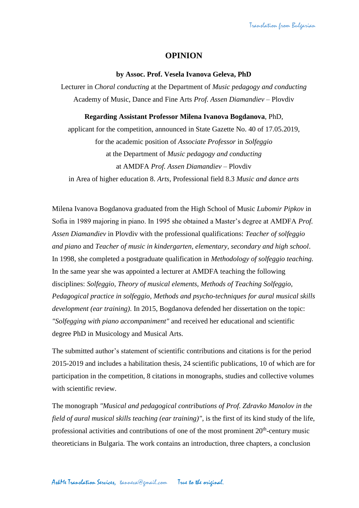## **OPINION**

## **by Assoc. Prof. Vesela Ivanova Geleva, PhD**

Lecturer in *Choral conducting* at the Department of *Music pedagogy and conducting* Academy of Music, Dance and Fine Arts *Prof. Assen Diamandiev* – Plovdiv

## **Regarding Assistant Professor Milena Ivanova Bogdanova**, PhD,

applicant for the competition, announced in State Gazette No. 40 of 17.05.2019, for the academic position of *Associate Professor* in *Solfeggio* at the Department of *Music pedagogy and conducting* at AMDFA *Prof. Assen Diamandiev* – Plovdiv in Area of higher education 8. *Arts*, Professional field 8.3 *Music and dance arts*

Milena Ivanova Bogdanova graduated from the High School of Music *Lubomir Pipkov* in Sofia in 1989 majoring in piano. In 1995 she obtained a Master's degree at AMDFA *Prof. Assen Diamandiev* in Plovdiv with the professional qualifications: *Teacher of solfeggio and piano* and *Teacher of music in kindergarten, elementary, secondary and high school*. In 1998, she completed a postgraduate qualification in *Methodology of solfeggio teaching.*  In the same year she was appointed a lecturer at AMDFA teaching the following disciplines: *Solfeggio, Theory of musical elements, Methods of Teaching Solfeggio, Pedagogical practice in solfeggio*, *Methods and psycho-techniques for aural musical skills development (ear training)*. In 2015, Bogdanova defended her dissertation on the topic: *"Solfegging with piano accompaniment"* and received her educational and scientific degree PhD in Musicology and Musical Arts.

The submitted author's statement of scientific contributions and citations is for the period 2015-2019 and includes a habilitation thesis, 24 scientific publications, 10 of which are for participation in the competition, 8 citations in monographs, studies and collective volumes with scientific review.

The monograph *"Musical and pedagogical contributions of Prof. Zdravko Manolov in the field of aural musical skills teaching (ear training)"*, is the first of its kind study of the life, professional activities and contributions of one of the most prominent  $20<sup>th</sup>$ -century music theoreticians in Bulgaria. The work contains an introduction, three chapters, a conclusion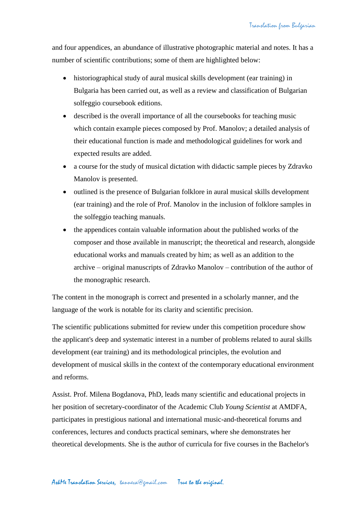and four appendices, an abundance of illustrative photographic material and notes. It has a number of scientific contributions; some of them are highlighted below:

- historiographical study of aural musical skills development (ear training) in Bulgaria has been carried out, as well as a review and classification of Bulgarian solfeggio coursebook editions.
- described is the overall importance of all the coursebooks for teaching music which contain example pieces composed by Prof. Manolov; a detailed analysis of their educational function is made and methodological guidelines for work and expected results are added.
- a course for the study of musical dictation with didactic sample pieces by Zdravko Manolov is presented.
- outlined is the presence of Bulgarian folklore in aural musical skills development (ear training) and the role of Prof. Manolov in the inclusion of folklore samples in the solfeggio teaching manuals.
- the appendices contain valuable information about the published works of the composer and those available in manuscript; the theoretical and research, alongside educational works and manuals created by him; as well as an addition to the archive – original manuscripts of Zdravko Manolov – contribution of the author of the monographic research.

The content in the monograph is correct and presented in a scholarly manner, and the language of the work is notable for its clarity and scientific precision.

The scientific publications submitted for review under this competition procedure show the applicant's deep and systematic interest in a number of problems related to aural skills development (ear training) and its methodological principles, the evolution and development of musical skills in the context of the contemporary educational environment and reforms.

Assist. Prof. Milena Bogdanova, PhD, leads many scientific and educational projects in her position of secretary-coordinator of the Academic Club *Young Scientist* at AMDFA, participates in prestigious national and international music-and-theoretical forums and conferences, lectures and conducts practical seminars, where she demonstrates her theoretical developments. She is the author of curricula for five courses in the Bachelor's